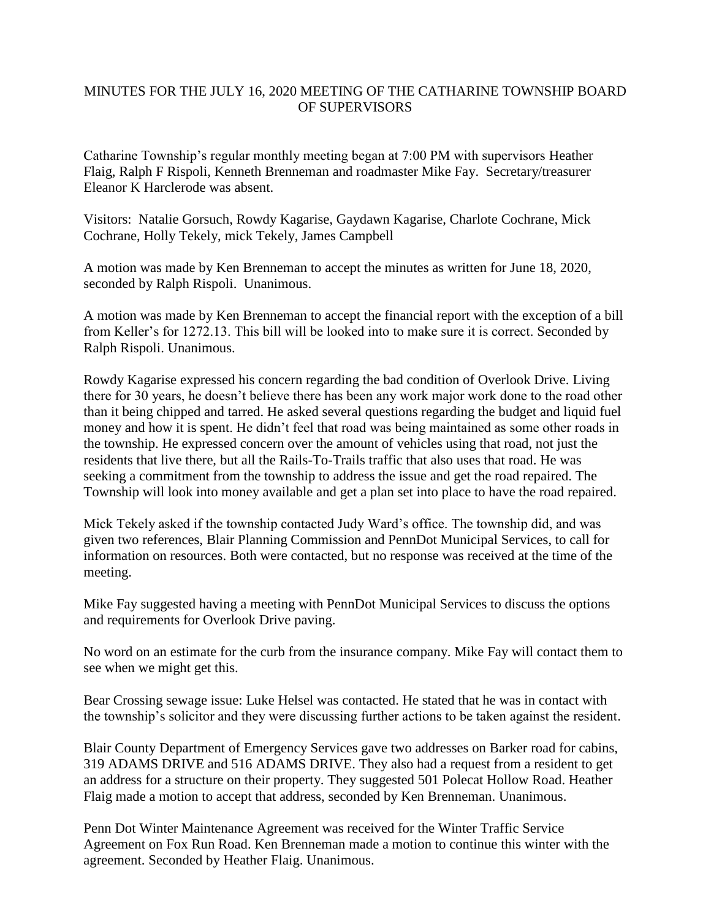## MINUTES FOR THE JULY 16, 2020 MEETING OF THE CATHARINE TOWNSHIP BOARD OF SUPERVISORS

Catharine Township's regular monthly meeting began at 7:00 PM with supervisors Heather Flaig, Ralph F Rispoli, Kenneth Brenneman and roadmaster Mike Fay. Secretary/treasurer Eleanor K Harclerode was absent.

Visitors: Natalie Gorsuch, Rowdy Kagarise, Gaydawn Kagarise, Charlote Cochrane, Mick Cochrane, Holly Tekely, mick Tekely, James Campbell

A motion was made by Ken Brenneman to accept the minutes as written for June 18, 2020, seconded by Ralph Rispoli. Unanimous.

A motion was made by Ken Brenneman to accept the financial report with the exception of a bill from Keller's for 1272.13. This bill will be looked into to make sure it is correct. Seconded by Ralph Rispoli. Unanimous.

Rowdy Kagarise expressed his concern regarding the bad condition of Overlook Drive. Living there for 30 years, he doesn't believe there has been any work major work done to the road other than it being chipped and tarred. He asked several questions regarding the budget and liquid fuel money and how it is spent. He didn't feel that road was being maintained as some other roads in the township. He expressed concern over the amount of vehicles using that road, not just the residents that live there, but all the Rails-To-Trails traffic that also uses that road. He was seeking a commitment from the township to address the issue and get the road repaired. The Township will look into money available and get a plan set into place to have the road repaired.

Mick Tekely asked if the township contacted Judy Ward's office. The township did, and was given two references, Blair Planning Commission and PennDot Municipal Services, to call for information on resources. Both were contacted, but no response was received at the time of the meeting.

Mike Fay suggested having a meeting with PennDot Municipal Services to discuss the options and requirements for Overlook Drive paving.

No word on an estimate for the curb from the insurance company. Mike Fay will contact them to see when we might get this.

Bear Crossing sewage issue: Luke Helsel was contacted. He stated that he was in contact with the township's solicitor and they were discussing further actions to be taken against the resident.

Blair County Department of Emergency Services gave two addresses on Barker road for cabins, 319 ADAMS DRIVE and 516 ADAMS DRIVE. They also had a request from a resident to get an address for a structure on their property. They suggested 501 Polecat Hollow Road. Heather Flaig made a motion to accept that address, seconded by Ken Brenneman. Unanimous.

Penn Dot Winter Maintenance Agreement was received for the Winter Traffic Service Agreement on Fox Run Road. Ken Brenneman made a motion to continue this winter with the agreement. Seconded by Heather Flaig. Unanimous.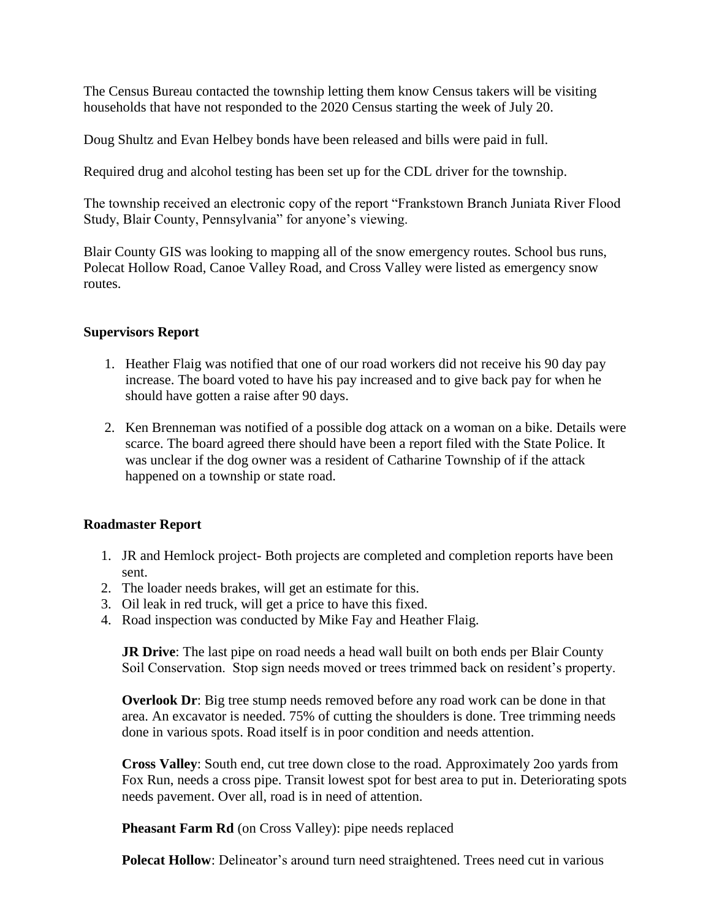The Census Bureau contacted the township letting them know Census takers will be visiting households that have not responded to the 2020 Census starting the week of July 20.

Doug Shultz and Evan Helbey bonds have been released and bills were paid in full.

Required drug and alcohol testing has been set up for the CDL driver for the township.

The township received an electronic copy of the report "Frankstown Branch Juniata River Flood Study, Blair County, Pennsylvania" for anyone's viewing.

Blair County GIS was looking to mapping all of the snow emergency routes. School bus runs, Polecat Hollow Road, Canoe Valley Road, and Cross Valley were listed as emergency snow routes.

## **Supervisors Report**

- 1. Heather Flaig was notified that one of our road workers did not receive his 90 day pay increase. The board voted to have his pay increased and to give back pay for when he should have gotten a raise after 90 days.
- 2. Ken Brenneman was notified of a possible dog attack on a woman on a bike. Details were scarce. The board agreed there should have been a report filed with the State Police. It was unclear if the dog owner was a resident of Catharine Township of if the attack happened on a township or state road.

## **Roadmaster Report**

- 1. JR and Hemlock project- Both projects are completed and completion reports have been sent.
- 2. The loader needs brakes, will get an estimate for this.
- 3. Oil leak in red truck, will get a price to have this fixed.
- 4. Road inspection was conducted by Mike Fay and Heather Flaig.

**JR Drive**: The last pipe on road needs a head wall built on both ends per Blair County Soil Conservation. Stop sign needs moved or trees trimmed back on resident's property.

**Overlook Dr**: Big tree stump needs removed before any road work can be done in that area. An excavator is needed. 75% of cutting the shoulders is done. Tree trimming needs done in various spots. Road itself is in poor condition and needs attention.

**Cross Valley**: South end, cut tree down close to the road. Approximately 2oo yards from Fox Run, needs a cross pipe. Transit lowest spot for best area to put in. Deteriorating spots needs pavement. Over all, road is in need of attention.

**Pheasant Farm Rd** (on Cross Valley): pipe needs replaced

**Polecat Hollow**: Delineator's around turn need straightened. Trees need cut in various